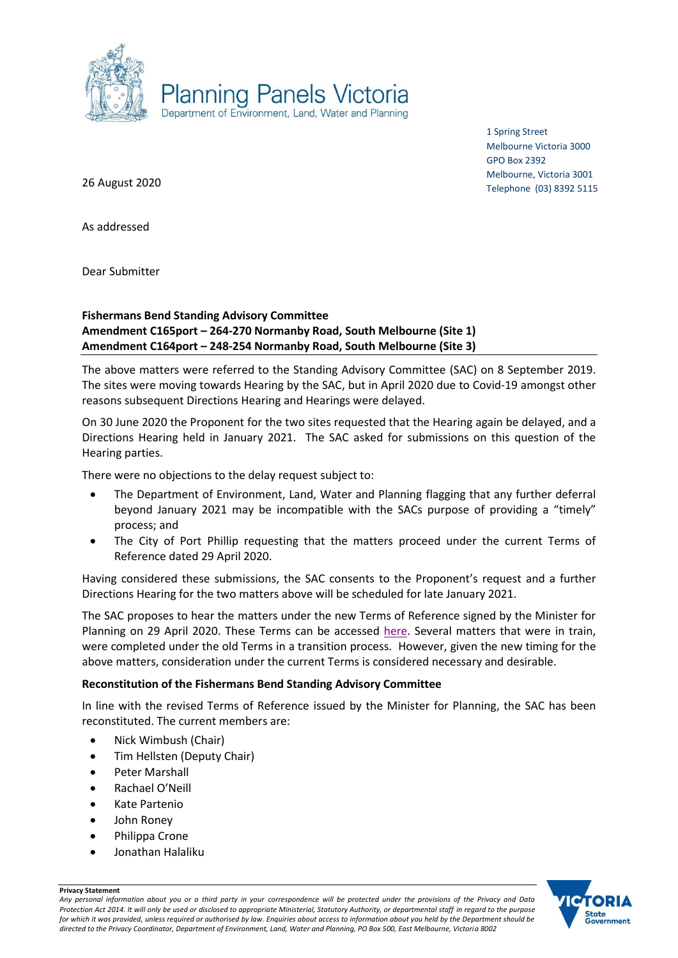

1 Spring Street Melbourne Victoria 3000 GPO Box 2392 Melbourne, Victoria 3001 Telephone (03) 8392 5115

26 August 2020

As addressed

Dear Submitter

## **Fishermans Bend Standing Advisory Committee Amendment C165port – 264-270 Normanby Road, South Melbourne (Site 1) Amendment C164port – 248-254 Normanby Road, South Melbourne (Site 3)**

The above matters were referred to the Standing Advisory Committee (SAC) on 8 September 2019. The sites were moving towards Hearing by the SAC, but in April 2020 due to Covid-19 amongst other reasons subsequent Directions Hearing and Hearings were delayed.

On 30 June 2020 the Proponent for the two sites requested that the Hearing again be delayed, and a Directions Hearing held in January 2021. The SAC asked for submissions on this question of the Hearing parties.

There were no objections to the delay request subject to:

- The Department of Environment, Land, Water and Planning flagging that any further deferral beyond January 2021 may be incompatible with the SACs purpose of providing a "timely" process; and
- The City of Port Phillip requesting that the matters proceed under the current Terms of Reference dated 29 April 2020.

Having considered these submissions, the SAC consents to the Proponent's request and a further Directions Hearing for the two matters above will be scheduled for late January 2021.

The SAC proposes to hear the matters under the new Terms of Reference signed by the Minister for Planning on 29 April 2020. These Terms can be accessed [here.](https://www.planning.vic.gov.au/__data/assets/pdf_file/0024/464550/FB-Standing-Advisory-Committee-Terms-of-Reference-29-April-2020.pdf) Several matters that were in train, were completed under the old Terms in a transition process. However, given the new timing for the above matters, consideration under the current Terms is considered necessary and desirable.

## **Reconstitution of the Fishermans Bend Standing Advisory Committee**

In line with the revised Terms of Reference issued by the Minister for Planning, the SAC has been reconstituted. The current members are:

- Nick Wimbush (Chair)
- Tim Hellsten (Deputy Chair)
- Peter Marshall
- Rachael O'Neill
- Kate Partenio
- John Roney

**Privacy Statement**

- Philippa Crone
- Jonathan Halaliku

**State** Government

*Any personal information about you or a third party in your correspondence will be protected under the provisions of the Privacy and Data Protection Act 2014. It will only be used or disclosed to appropriate Ministerial, Statutory Authority, or departmental staff in regard to the purpose for which it was provided, unless required or authorised by law. Enquiries about access to information about you held by the Department should be directed to the Privacy Coordinator, Department of Environment, Land, Water and Planning, PO Box 500, East Melbourne, Victoria 8002*